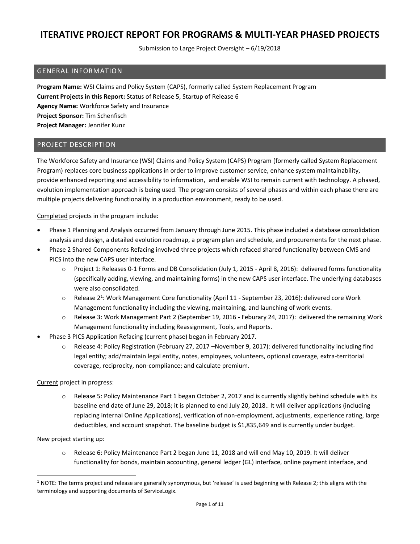Submission to Large Project Oversight – 6/19/2018

#### GENERAL INFORMATION

**Program Name:** WSI Claims and Policy System (CAPS), formerly called System Replacement Program **Current Projects in this Report:** Status of Release 5, Startup of Release 6 **Agency Name:** Workforce Safety and Insurance **Project Sponsor:** Tim Schenfisch **Project Manager:** Jennifer Kunz

#### PROJECT DESCRIPTION

The Workforce Safety and Insurance (WSI) Claims and Policy System (CAPS) Program (formerly called System Replacement Program) replaces core business applications in order to improve customer service, enhance system maintainability, provide enhanced reporting and accessibility to information, and enable WSI to remain current with technology. A phased, evolution implementation approach is being used. The program consists of several phases and within each phase there are multiple projects delivering functionality in a production environment, ready to be used.

Completed projects in the program include:

- Phase 1 Planning and Analysis occurred from January through June 2015. This phase included a database consolidation analysis and design, a detailed evolution roadmap, a program plan and schedule, and procurements for the next phase.
- Phase 2 Shared Components Refacing involved three projects which refaced shared functionality between CMS and PICS into the new CAPS user interface.
	- o Project 1: Releases 0-1 Forms and DB Consolidation (July 1, 2015 April 8, 2016): delivered forms functionality (specifically adding, viewing, and maintaining forms) in the new CAPS user interface. The underlying databases were also consolidated.
	- $\circ$  Release 2<sup>1</sup>: Work Management Core functionality (April 11 September 23, 2016): delivered core Work Management functionality including the viewing, maintaining, and launching of work events.
	- o Release 3: Work Management Part 2 (September 19, 2016 Feburary 24, 2017): delivered the remaining Work Management functionality including Reassignment, Tools, and Reports.
- Phase 3 PICS Application Refacing (current phase) began in February 2017.
	- o Release 4: Policy Registration (February 27, 2017 –November 9, 2017): delivered functionality including find legal entity; add/maintain legal entity, notes, employees, volunteers, optional coverage, extra-territorial coverage, reciprocity, non-compliance; and calculate premium.

Current project in progress:

o Release 5: Policy Maintenance Part 1 began October 2, 2017 and is currently slightly behind schedule with its baseline end date of June 29, 2018; it is planned to end July 20, 2018.. It will deliver applications (including replacing internal Online Applications), verification of non-employment, adjustments, experience rating, large deductibles, and account snapshot. The baseline budget is \$1,835,649 and is currently under budget.

New project starting up:

 $\overline{a}$ 

o Release 6: Policy Maintenance Part 2 began June 11, 2018 and will end May 10, 2019. It will deliver functionality for bonds, maintain accounting, general ledger (GL) interface, online payment interface, and

 $1$  NOTE: The terms project and release are generally synonymous, but 'release' is used beginning with Release 2; this aligns with the terminology and supporting documents of ServiceLogix.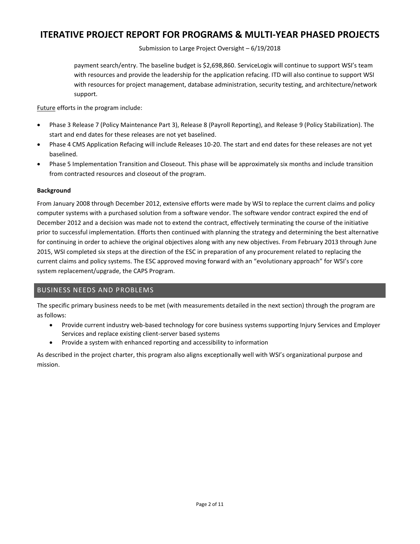Submission to Large Project Oversight – 6/19/2018

payment search/entry. The baseline budget is \$2,698,860. ServiceLogix will continue to support WSI's team with resources and provide the leadership for the application refacing. ITD will also continue to support WSI with resources for project management, database administration, security testing, and architecture/network support.

Future efforts in the program include:

- Phase 3 Release 7 (Policy Maintenance Part 3), Release 8 (Payroll Reporting), and Release 9 (Policy Stabilization). The start and end dates for these releases are not yet baselined.
- Phase 4 CMS Application Refacing will include Releases 10-20. The start and end dates for these releases are not yet baselined.
- Phase 5 Implementation Transition and Closeout. This phase will be approximately six months and include transition from contracted resources and closeout of the program.

#### **Background**

From January 2008 through December 2012, extensive efforts were made by WSI to replace the current claims and policy computer systems with a purchased solution from a software vendor. The software vendor contract expired the end of December 2012 and a decision was made not to extend the contract, effectively terminating the course of the initiative prior to successful implementation. Efforts then continued with planning the strategy and determining the best alternative for continuing in order to achieve the original objectives along with any new objectives. From February 2013 through June 2015, WSI completed six steps at the direction of the ESC in preparation of any procurement related to replacing the current claims and policy systems. The ESC approved moving forward with an "evolutionary approach" for WSI's core system replacement/upgrade, the CAPS Program.

### BUSINESS NEEDS AND PROBLEMS

The specific primary business needs to be met (with measurements detailed in the next section) through the program are as follows:

- Provide current industry web-based technology for core business systems supporting Injury Services and Employer Services and replace existing client-server based systems
- Provide a system with enhanced reporting and accessibility to information

As described in the project charter, this program also aligns exceptionally well with WSI's organizational purpose and mission.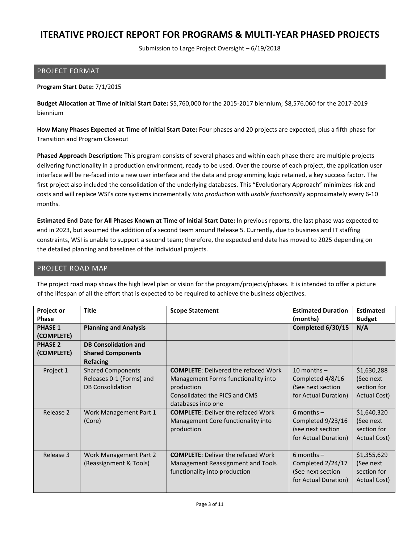Submission to Large Project Oversight – 6/19/2018

#### PROJECT FORMAT

#### **Program Start Date:** 7/1/2015

**Budget Allocation at Time of Initial Start Date:** \$5,760,000 for the 2015-2017 biennium; \$8,576,060 for the 2017-2019 biennium

**How Many Phases Expected at Time of Initial Start Date:** Four phases and 20 projects are expected, plus a fifth phase for Transition and Program Closeout

**Phased Approach Description:** This program consists of several phases and within each phase there are multiple projects delivering functionality in a production environment, ready to be used. Over the course of each project, the application user interface will be re-faced into a new user interface and the data and programming logic retained, a key success factor. The first project also included the consolidation of the underlying databases. This "Evolutionary Approach" minimizes risk and costs and will replace WSI's core systems incrementally *into production* with *usable functionality* approximately every 6-10 months.

**Estimated End Date for All Phases Known at Time of Initial Start Date:** In previous reports, the last phase was expected to end in 2023, but assumed the addition of a second team around Release 5. Currently, due to business and IT staffing constraints, WSI is unable to support a second team; therefore, the expected end date has moved to 2025 depending on the detailed planning and baselines of the individual projects.

#### PROJECT ROAD MAP

The project road map shows the high level plan or vision for the program/projects/phases. It is intended to offer a picture of the lifespan of all the effort that is expected to be required to achieve the business objectives.

| Project or     | <b>Title</b>                 | <b>Scope Statement</b>                      | <b>Estimated Duration</b> | <b>Estimated</b> |
|----------------|------------------------------|---------------------------------------------|---------------------------|------------------|
| Phase          |                              |                                             | (months)                  | <b>Budget</b>    |
| <b>PHASE 1</b> | <b>Planning and Analysis</b> |                                             | Completed 6/30/15         | N/A              |
| (COMPLETE)     |                              |                                             |                           |                  |
| <b>PHASE 2</b> | <b>DB Consolidation and</b>  |                                             |                           |                  |
| (COMPLETE)     | <b>Shared Components</b>     |                                             |                           |                  |
|                | <b>Refacing</b>              |                                             |                           |                  |
| Project 1      | <b>Shared Components</b>     | <b>COMPLETE: Delivered the refaced Work</b> | 10 months $-$             | \$1,630,288      |
|                | Releases 0-1 (Forms) and     | Management Forms functionality into         | Completed 4/8/16          | (See next        |
|                | <b>DB Consolidation</b>      | production                                  | (See next section         | section for      |
|                |                              | Consolidated the PICS and CMS               | for Actual Duration)      | Actual Cost)     |
|                |                              | databases into one                          |                           |                  |
| Release 2      | Work Management Part 1       | <b>COMPLETE: Deliver the refaced Work</b>   | 6 months $-$              | \$1,640,320      |
|                | (Core)                       | Management Core functionality into          | Completed 9/23/16         | (See next        |
|                |                              | production                                  | (see next section         | section for      |
|                |                              |                                             | for Actual Duration)      | Actual Cost)     |
|                |                              |                                             |                           |                  |
| Release 3      | Work Management Part 2       | <b>COMPLETE: Deliver the refaced Work</b>   | 6 months $-$              | \$1,355,629      |
|                | (Reassignment & Tools)       | Management Reassignment and Tools           | Completed 2/24/17         | (See next        |
|                |                              | functionality into production               | (See next section         | section for      |
|                |                              |                                             | for Actual Duration)      | Actual Cost)     |
|                |                              |                                             |                           |                  |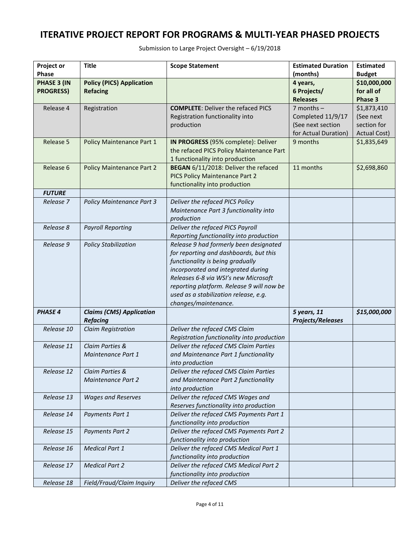| Project or         | <b>Title</b>                     | <b>Scope Statement</b>                                                     | <b>Estimated Duration</b> | <b>Estimated</b> |
|--------------------|----------------------------------|----------------------------------------------------------------------------|---------------------------|------------------|
| <b>Phase</b>       |                                  |                                                                            | (months)                  | <b>Budget</b>    |
| <b>PHASE 3 (IN</b> | <b>Policy (PICS) Application</b> |                                                                            | 4 years,                  | \$10,000,000     |
| <b>PROGRESS)</b>   | <b>Refacing</b>                  |                                                                            | 6 Projects/               | for all of       |
|                    |                                  |                                                                            | <b>Releases</b>           | Phase 3          |
| Release 4          | Registration                     | <b>COMPLETE: Deliver the refaced PICS</b>                                  | $7$ months $-$            | \$1,873,410      |
|                    |                                  | Registration functionality into                                            | Completed 11/9/17         | (See next        |
|                    |                                  | production                                                                 | (See next section         | section for      |
|                    |                                  |                                                                            | for Actual Duration)      | Actual Cost)     |
| Release 5          | Policy Maintenance Part 1        | IN PROGRESS (95% complete): Deliver                                        | 9 months                  | \$1,835,649      |
|                    |                                  | the refaced PICS Policy Maintenance Part                                   |                           |                  |
|                    |                                  | 1 functionality into production                                            |                           |                  |
| Release 6          | <b>Policy Maintenance Part 2</b> | BEGAN 6/11/2018: Deliver the refaced                                       | 11 months                 | \$2,698,860      |
|                    |                                  | PICS Policy Maintenance Part 2                                             |                           |                  |
|                    |                                  | functionality into production                                              |                           |                  |
| <b>FUTURE</b>      |                                  |                                                                            |                           |                  |
| Release 7          | <b>Policy Maintenance Part 3</b> | Deliver the refaced PICS Policy                                            |                           |                  |
|                    |                                  | Maintenance Part 3 functionality into                                      |                           |                  |
|                    |                                  | production                                                                 |                           |                  |
| Release 8          | <b>Payroll Reporting</b>         | Deliver the refaced PICS Payroll                                           |                           |                  |
|                    |                                  | Reporting functionality into production                                    |                           |                  |
| Release 9          | <b>Policy Stabilization</b>      | Release 9 had formerly been designated                                     |                           |                  |
|                    |                                  | for reporting and dashboards, but this                                     |                           |                  |
|                    |                                  | functionality is being gradually                                           |                           |                  |
|                    |                                  | incorporated and integrated during<br>Releases 6-8 via WSI's new Microsoft |                           |                  |
|                    |                                  | reporting platform. Release 9 will now be                                  |                           |                  |
|                    |                                  | used as a stabilization release, e.g.                                      |                           |                  |
|                    |                                  | changes/maintenance.                                                       |                           |                  |
| <b>PHASE 4</b>     | <b>Claims (CMS) Application</b>  |                                                                            | 5 years, 11               | \$15,000,000     |
|                    | <b>Refacing</b>                  |                                                                            | <b>Projects/Releases</b>  |                  |
| Release 10         | <b>Claim Registration</b>        | Deliver the refaced CMS Claim                                              |                           |                  |
|                    |                                  | Registration functionality into production                                 |                           |                  |
| Release 11         | Claim Parties &                  | Deliver the refaced CMS Claim Parties                                      |                           |                  |
|                    | Maintenance Part 1               | and Maintenance Part 1 functionality                                       |                           |                  |
|                    |                                  | into production                                                            |                           |                  |
| Release 12         | Claim Parties &                  | Deliver the refaced CMS Claim Parties                                      |                           |                  |
|                    | Maintenance Part 2               | and Maintenance Part 2 functionality                                       |                           |                  |
|                    |                                  | into production                                                            |                           |                  |
| Release 13         | <b>Wages and Reserves</b>        | Deliver the refaced CMS Wages and                                          |                           |                  |
|                    |                                  | Reserves functionality into production                                     |                           |                  |
| Release 14         | Payments Part 1                  | Deliver the refaced CMS Payments Part 1                                    |                           |                  |
|                    |                                  | functionality into production                                              |                           |                  |
| Release 15         | <b>Payments Part 2</b>           | Deliver the refaced CMS Payments Part 2                                    |                           |                  |
|                    |                                  | functionality into production                                              |                           |                  |
| Release 16         | <b>Medical Part 1</b>            | Deliver the refaced CMS Medical Part 1                                     |                           |                  |
|                    |                                  | functionality into production                                              |                           |                  |
| Release 17         | <b>Medical Part 2</b>            | Deliver the refaced CMS Medical Part 2                                     |                           |                  |
|                    |                                  | functionality into production                                              |                           |                  |
| Release 18         | Field/Fraud/Claim Inquiry        | Deliver the refaced CMS                                                    |                           |                  |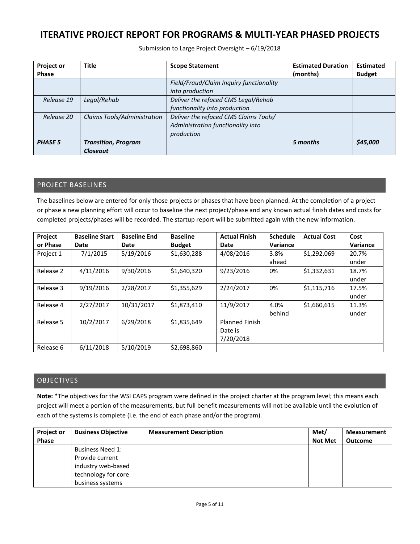Submission to Large Project Oversight – 6/19/2018

| <b>Project or</b> | <b>Title</b>                | <b>Scope Statement</b>                  | <b>Estimated Duration</b> | <b>Estimated</b> |
|-------------------|-----------------------------|-----------------------------------------|---------------------------|------------------|
| <b>Phase</b>      |                             |                                         | (months)                  | <b>Budget</b>    |
|                   |                             | Field/Fraud/Claim Inquiry functionality |                           |                  |
|                   |                             | into production                         |                           |                  |
| Release 19        | Legal/Rehab                 | Deliver the refaced CMS Legal/Rehab     |                           |                  |
|                   |                             | functionality into production           |                           |                  |
| Release 20        | Claims Tools/Administration | Deliver the refaced CMS Claims Tools/   |                           |                  |
|                   |                             | Administration functionality into       |                           |                  |
|                   |                             | production                              |                           |                  |
| <b>PHASE 5</b>    | <b>Transition, Program</b>  |                                         | 5 months                  | \$45,000         |
|                   | <b>Closeout</b>             |                                         |                           |                  |

### PROJECT BASELINES

The baselines below are entered for only those projects or phases that have been planned. At the completion of a project or phase a new planning effort will occur to baseline the next project/phase and any known actual finish dates and costs for completed projects/phases will be recorded. The startup report will be submitted again with the new information.

| Project   | <b>Baseline Start</b> | <b>Baseline End</b> | <b>Baseline</b> | <b>Actual Finish</b>  | <b>Schedule</b> | <b>Actual Cost</b> | Cost     |
|-----------|-----------------------|---------------------|-----------------|-----------------------|-----------------|--------------------|----------|
| or Phase  | Date                  | Date                | <b>Budget</b>   | Date                  | Variance        |                    | Variance |
| Project 1 | 7/1/2015              | 5/19/2016           | \$1,630,288     | 4/08/2016             | 3.8%            | \$1,292,069        | 20.7%    |
|           |                       |                     |                 |                       | ahead           |                    | under    |
| Release 2 | 4/11/2016             | 9/30/2016           | \$1,640,320     | 9/23/2016             | 0%              | \$1,332,631        | 18.7%    |
|           |                       |                     |                 |                       |                 |                    | under    |
| Release 3 | 9/19/2016             | 2/28/2017           | \$1,355,629     | 2/24/2017             | 0%              | \$1,115,716        | 17.5%    |
|           |                       |                     |                 |                       |                 |                    | under    |
| Release 4 | 2/27/2017             | 10/31/2017          | \$1,873,410     | 11/9/2017             | 4.0%            | \$1,660,615        | 11.3%    |
|           |                       |                     |                 |                       | behind          |                    | under    |
| Release 5 | 10/2/2017             | 6/29/2018           | \$1,835,649     | <b>Planned Finish</b> |                 |                    |          |
|           |                       |                     |                 | Date is               |                 |                    |          |
|           |                       |                     |                 | 7/20/2018             |                 |                    |          |
| Release 6 | 6/11/2018             | 5/10/2019           | \$2,698,860     |                       |                 |                    |          |

### OBJECTIVES

**Note:** \*The objectives for the WSI CAPS program were defined in the project charter at the program level; this means each project will meet a portion of the measurements, but full benefit measurements will not be available until the evolution of each of the systems is complete (i.e. the end of each phase and/or the program).

| <b>Project or</b> | <b>Business Objective</b> | <b>Measurement Description</b> | Met/           | <b>Measurement</b> |
|-------------------|---------------------------|--------------------------------|----------------|--------------------|
| <b>Phase</b>      |                           |                                | <b>Not Met</b> | <b>Outcome</b>     |
|                   | <b>Business Need 1:</b>   |                                |                |                    |
|                   | Provide current           |                                |                |                    |
|                   | industry web-based        |                                |                |                    |
|                   | technology for core       |                                |                |                    |
|                   | business systems          |                                |                |                    |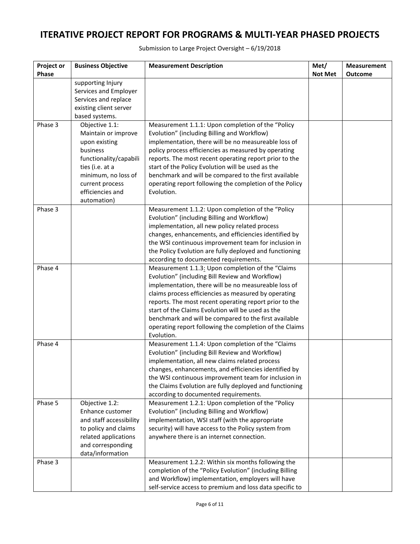| Project or<br>Phase | <b>Business Objective</b>           | <b>Measurement Description</b>                                                                                | Met/<br><b>Not Met</b> | <b>Measurement</b><br>Outcome |
|---------------------|-------------------------------------|---------------------------------------------------------------------------------------------------------------|------------------------|-------------------------------|
|                     | supporting Injury                   |                                                                                                               |                        |                               |
|                     | Services and Employer               |                                                                                                               |                        |                               |
|                     | Services and replace                |                                                                                                               |                        |                               |
|                     | existing client server              |                                                                                                               |                        |                               |
| Phase 3             | based systems.<br>Objective 1.1:    | Measurement 1.1.1: Upon completion of the "Policy                                                             |                        |                               |
|                     | Maintain or improve                 | Evolution" (including Billing and Workflow)                                                                   |                        |                               |
|                     | upon existing                       | implementation, there will be no measureable loss of                                                          |                        |                               |
|                     | business                            | policy process efficiencies as measured by operating                                                          |                        |                               |
|                     | functionality/capabili              | reports. The most recent operating report prior to the                                                        |                        |                               |
|                     | ties (i.e. at a                     | start of the Policy Evolution will be used as the                                                             |                        |                               |
|                     | minimum, no loss of                 | benchmark and will be compared to the first available                                                         |                        |                               |
|                     | current process<br>efficiencies and | operating report following the completion of the Policy<br>Evolution.                                         |                        |                               |
|                     | automation)                         |                                                                                                               |                        |                               |
| Phase 3             |                                     | Measurement 1.1.2: Upon completion of the "Policy                                                             |                        |                               |
|                     |                                     | Evolution" (including Billing and Workflow)                                                                   |                        |                               |
|                     |                                     | implementation, all new policy related process                                                                |                        |                               |
|                     |                                     | changes, enhancements, and efficiencies identified by                                                         |                        |                               |
|                     |                                     | the WSI continuous improvement team for inclusion in                                                          |                        |                               |
|                     |                                     | the Policy Evolution are fully deployed and functioning                                                       |                        |                               |
| Phase 4             |                                     | according to documented requirements.<br>Measurement 1.1.3: Upon completion of the "Claims                    |                        |                               |
|                     |                                     | Evolution" (including Bill Review and Workflow)                                                               |                        |                               |
|                     |                                     | implementation, there will be no measureable loss of                                                          |                        |                               |
|                     |                                     | claims process efficiencies as measured by operating                                                          |                        |                               |
|                     |                                     | reports. The most recent operating report prior to the                                                        |                        |                               |
|                     |                                     | start of the Claims Evolution will be used as the                                                             |                        |                               |
|                     |                                     | benchmark and will be compared to the first available                                                         |                        |                               |
|                     |                                     | operating report following the completion of the Claims<br>Evolution.                                         |                        |                               |
| Phase 4             |                                     | Measurement 1.1.4: Upon completion of the "Claims                                                             |                        |                               |
|                     |                                     | Evolution" (including Bill Review and Workflow)                                                               |                        |                               |
|                     |                                     | implementation, all new claims related process                                                                |                        |                               |
|                     |                                     | changes, enhancements, and efficiencies identified by                                                         |                        |                               |
|                     |                                     | the WSI continuous improvement team for inclusion in                                                          |                        |                               |
|                     |                                     | the Claims Evolution are fully deployed and functioning                                                       |                        |                               |
| Phase 5             | Objective 1.2:                      | according to documented requirements.<br>Measurement 1.2.1: Upon completion of the "Policy                    |                        |                               |
|                     | Enhance customer                    | Evolution" (including Billing and Workflow)                                                                   |                        |                               |
|                     | and staff accessibility             | implementation, WSI staff (with the appropriate                                                               |                        |                               |
|                     | to policy and claims                | security) will have access to the Policy system from                                                          |                        |                               |
|                     | related applications                | anywhere there is an internet connection.                                                                     |                        |                               |
|                     | and corresponding                   |                                                                                                               |                        |                               |
|                     | data/information                    |                                                                                                               |                        |                               |
| Phase 3             |                                     | Measurement 1.2.2: Within six months following the<br>completion of the "Policy Evolution" (including Billing |                        |                               |
|                     |                                     | and Workflow) implementation, employers will have                                                             |                        |                               |
|                     |                                     | self-service access to premium and loss data specific to                                                      |                        |                               |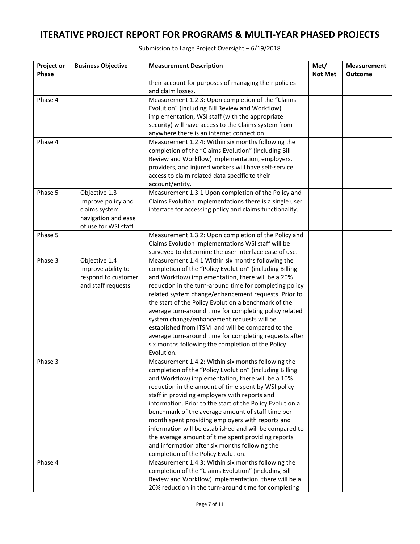| Project or<br>Phase | <b>Business Objective</b>                                                                           | <b>Measurement Description</b>                                                                                                                                                                                                                                                                                                                                                                                                                                                                                                                                                                                                                             | Met/<br><b>Not Met</b> | <b>Measurement</b><br>Outcome |
|---------------------|-----------------------------------------------------------------------------------------------------|------------------------------------------------------------------------------------------------------------------------------------------------------------------------------------------------------------------------------------------------------------------------------------------------------------------------------------------------------------------------------------------------------------------------------------------------------------------------------------------------------------------------------------------------------------------------------------------------------------------------------------------------------------|------------------------|-------------------------------|
|                     |                                                                                                     | their account for purposes of managing their policies<br>and claim losses.                                                                                                                                                                                                                                                                                                                                                                                                                                                                                                                                                                                 |                        |                               |
| Phase 4             |                                                                                                     | Measurement 1.2.3: Upon completion of the "Claims<br>Evolution" (including Bill Review and Workflow)<br>implementation, WSI staff (with the appropriate<br>security) will have access to the Claims system from<br>anywhere there is an internet connection.                                                                                                                                                                                                                                                                                                                                                                                               |                        |                               |
| Phase 4             |                                                                                                     | Measurement 1.2.4: Within six months following the<br>completion of the "Claims Evolution" (including Bill<br>Review and Workflow) implementation, employers,<br>providers, and injured workers will have self-service<br>access to claim related data specific to their<br>account/entity.                                                                                                                                                                                                                                                                                                                                                                |                        |                               |
| Phase 5             | Objective 1.3<br>Improve policy and<br>claims system<br>navigation and ease<br>of use for WSI staff | Measurement 1.3.1 Upon completion of the Policy and<br>Claims Evolution implementations there is a single user<br>interface for accessing policy and claims functionality.                                                                                                                                                                                                                                                                                                                                                                                                                                                                                 |                        |                               |
| Phase 5             |                                                                                                     | Measurement 1.3.2: Upon completion of the Policy and<br>Claims Evolution implementations WSI staff will be<br>surveyed to determine the user interface ease of use.                                                                                                                                                                                                                                                                                                                                                                                                                                                                                        |                        |                               |
| Phase 3             | Objective 1.4<br>Improve ability to<br>respond to customer<br>and staff requests                    | Measurement 1.4.1 Within six months following the<br>completion of the "Policy Evolution" (including Billing<br>and Workflow) implementation, there will be a 20%<br>reduction in the turn-around time for completing policy<br>related system change/enhancement requests. Prior to<br>the start of the Policy Evolution a benchmark of the<br>average turn-around time for completing policy related<br>system change/enhancement requests will be<br>established from ITSM and will be compared to the<br>average turn-around time for completing requests after<br>six months following the completion of the Policy<br>Evolution.                     |                        |                               |
| Phase 3             |                                                                                                     | Measurement 1.4.2: Within six months following the<br>completion of the "Policy Evolution" (including Billing<br>and Workflow) implementation, there will be a 10%<br>reduction in the amount of time spent by WSI policy<br>staff in providing employers with reports and<br>information. Prior to the start of the Policy Evolution a<br>benchmark of the average amount of staff time per<br>month spent providing employers with reports and<br>information will be established and will be compared to<br>the average amount of time spent providing reports<br>and information after six months following the<br>completion of the Policy Evolution. |                        |                               |
| Phase 4             |                                                                                                     | Measurement 1.4.3: Within six months following the<br>completion of the "Claims Evolution" (including Bill<br>Review and Workflow) implementation, there will be a<br>20% reduction in the turn-around time for completing                                                                                                                                                                                                                                                                                                                                                                                                                                 |                        |                               |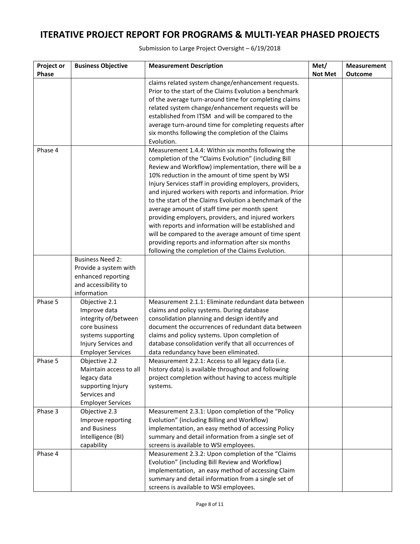| Project or   | <b>Business Objective</b>                 | <b>Measurement Description</b>                           | Met/           | <b>Measurement</b> |
|--------------|-------------------------------------------|----------------------------------------------------------|----------------|--------------------|
| <b>Phase</b> |                                           |                                                          | <b>Not Met</b> | <b>Outcome</b>     |
|              |                                           | claims related system change/enhancement requests.       |                |                    |
|              |                                           | Prior to the start of the Claims Evolution a benchmark   |                |                    |
|              |                                           | of the average turn-around time for completing claims    |                |                    |
|              |                                           | related system change/enhancement requests will be       |                |                    |
|              |                                           | established from ITSM and will be compared to the        |                |                    |
|              |                                           | average turn-around time for completing requests after   |                |                    |
|              |                                           | six months following the completion of the Claims        |                |                    |
|              |                                           | Evolution.                                               |                |                    |
| Phase 4      |                                           | Measurement 1.4.4: Within six months following the       |                |                    |
|              |                                           | completion of the "Claims Evolution" (including Bill     |                |                    |
|              |                                           | Review and Workflow) implementation, there will be a     |                |                    |
|              |                                           | 10% reduction in the amount of time spent by WSI         |                |                    |
|              |                                           | Injury Services staff in providing employers, providers, |                |                    |
|              |                                           | and injured workers with reports and information. Prior  |                |                    |
|              |                                           | to the start of the Claims Evolution a benchmark of the  |                |                    |
|              |                                           | average amount of staff time per month spent             |                |                    |
|              |                                           | providing employers, providers, and injured workers      |                |                    |
|              |                                           | with reports and information will be established and     |                |                    |
|              |                                           | will be compared to the average amount of time spent     |                |                    |
|              |                                           | providing reports and information after six months       |                |                    |
|              |                                           | following the completion of the Claims Evolution.        |                |                    |
|              | <b>Business Need 2:</b>                   |                                                          |                |                    |
|              | Provide a system with                     |                                                          |                |                    |
|              | enhanced reporting                        |                                                          |                |                    |
|              | and accessibility to                      |                                                          |                |                    |
|              | information                               |                                                          |                |                    |
| Phase 5      | Objective 2.1                             | Measurement 2.1.1: Eliminate redundant data between      |                |                    |
|              | Improve data                              | claims and policy systems. During database               |                |                    |
|              | integrity of/between                      | consolidation planning and design identify and           |                |                    |
|              | core business                             | document the occurrences of redundant data between       |                |                    |
|              | systems supporting                        | claims and policy systems. Upon completion of            |                |                    |
|              | Injury Services and                       | database consolidation verify that all occurrences of    |                |                    |
|              | <b>Employer Services</b>                  | data redundancy have been eliminated.                    |                |                    |
| Phase 5      | Objective 2.2                             | Measurement 2.2.1: Access to all legacy data (i.e.       |                |                    |
|              | Maintain access to all                    | history data) is available throughout and following      |                |                    |
|              | legacy data                               | project completion without having to access multiple     |                |                    |
|              | supporting Injury                         | systems.                                                 |                |                    |
|              | Services and                              |                                                          |                |                    |
| Phase 3      | <b>Employer Services</b><br>Objective 2.3 | Measurement 2.3.1: Upon completion of the "Policy        |                |                    |
|              | Improve reporting                         | Evolution" (including Billing and Workflow)              |                |                    |
|              | and Business                              | implementation, an easy method of accessing Policy       |                |                    |
|              | Intelligence (BI)                         | summary and detail information from a single set of      |                |                    |
|              | capability                                | screens is available to WSI employees.                   |                |                    |
| Phase 4      |                                           | Measurement 2.3.2: Upon completion of the "Claims        |                |                    |
|              |                                           | Evolution" (including Bill Review and Workflow)          |                |                    |
|              |                                           | implementation, an easy method of accessing Claim        |                |                    |
|              |                                           | summary and detail information from a single set of      |                |                    |
|              |                                           | screens is available to WSI employees.                   |                |                    |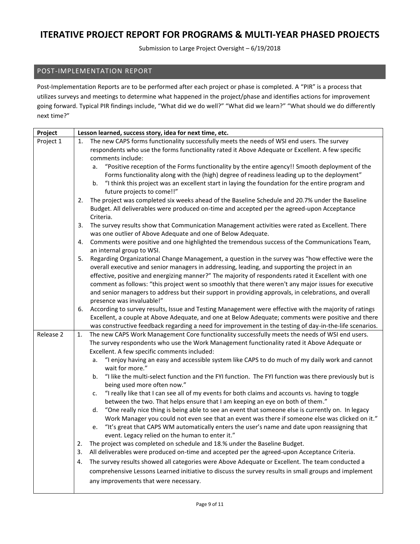Submission to Large Project Oversight – 6/19/2018

#### POST-IMPLEMENTATION REPORT

Post-Implementation Reports are to be performed after each project or phase is completed. A "PIR" is a process that utilizes surveys and meetings to determine what happened in the project/phase and identifies actions for improvement going forward. Typical PIR findings include, "What did we do well?" "What did we learn?" "What should we do differently next time?"

| Project   | Lesson learned, success story, idea for next time, etc.                                                                                                                                                           |  |  |  |
|-----------|-------------------------------------------------------------------------------------------------------------------------------------------------------------------------------------------------------------------|--|--|--|
| Project 1 | The new CAPS forms functionality successfully meets the needs of WSI end users. The survey<br>1.                                                                                                                  |  |  |  |
|           | respondents who use the forms functionality rated it Above Adequate or Excellent. A few specific                                                                                                                  |  |  |  |
|           | comments include:                                                                                                                                                                                                 |  |  |  |
|           | "Positive reception of the Forms functionality by the entire agency!! Smooth deployment of the<br>a.                                                                                                              |  |  |  |
|           | Forms functionality along with the (high) degree of readiness leading up to the deployment"                                                                                                                       |  |  |  |
|           | "I think this project was an excellent start in laying the foundation for the entire program and<br>b.<br>future projects to come!!"                                                                              |  |  |  |
|           | The project was completed six weeks ahead of the Baseline Schedule and 20.7% under the Baseline<br>2.                                                                                                             |  |  |  |
|           | Budget. All deliverables were produced on-time and accepted per the agreed-upon Acceptance<br>Criteria.                                                                                                           |  |  |  |
|           | 3.<br>The survey results show that Communication Management activities were rated as Excellent. There                                                                                                             |  |  |  |
|           | was one outlier of Above Adequate and one of Below Adequate.                                                                                                                                                      |  |  |  |
|           | Comments were positive and one highlighted the tremendous success of the Communications Team,<br>4.                                                                                                               |  |  |  |
|           | an internal group to WSI.                                                                                                                                                                                         |  |  |  |
|           | Regarding Organizational Change Management, a question in the survey was "how effective were the<br>5.                                                                                                            |  |  |  |
|           | overall executive and senior managers in addressing, leading, and supporting the project in an                                                                                                                    |  |  |  |
|           | effective, positive and energizing manner?" The majority of respondents rated it Excellent with one                                                                                                               |  |  |  |
|           | comment as follows: "this project went so smoothly that there weren't any major issues for executive                                                                                                              |  |  |  |
|           | and senior managers to address but their support in providing approvals, in celebrations, and overall                                                                                                             |  |  |  |
|           | presence was invaluable!"                                                                                                                                                                                         |  |  |  |
|           | According to survey results, Issue and Testing Management were effective with the majority of ratings<br>6.<br>Excellent, a couple at Above Adequate, and one at Below Adequate; comments were positive and there |  |  |  |
|           | was constructive feedback regarding a need for improvement in the testing of day-in-the-life scenarios.                                                                                                           |  |  |  |
| Release 2 | The new CAPS Work Management Core functionality successfully meets the needs of WSI end users.<br>1.                                                                                                              |  |  |  |
|           | The survey respondents who use the Work Management functionality rated it Above Adequate or                                                                                                                       |  |  |  |
|           | Excellent. A few specific comments included:                                                                                                                                                                      |  |  |  |
|           | "I enjoy having an easy and accessible system like CAPS to do much of my daily work and cannot<br>a.                                                                                                              |  |  |  |
|           | wait for more."                                                                                                                                                                                                   |  |  |  |
|           | "I like the multi-select function and the FYI function. The FYI function was there previously but is<br>b.<br>being used more often now."                                                                         |  |  |  |
|           | "I really like that I can see all of my events for both claims and accounts vs. having to toggle<br>c.                                                                                                            |  |  |  |
|           | between the two. That helps ensure that I am keeping an eye on both of them."                                                                                                                                     |  |  |  |
|           | "One really nice thing is being able to see an event that someone else is currently on. In legacy<br>d.                                                                                                           |  |  |  |
|           | Work Manager you could not even see that an event was there if someone else was clicked on it."                                                                                                                   |  |  |  |
|           | "It's great that CAPS WM automatically enters the user's name and date upon reassigning that<br>e.                                                                                                                |  |  |  |
|           | event. Legacy relied on the human to enter it."                                                                                                                                                                   |  |  |  |
|           | The project was completed on schedule and 18.% under the Baseline Budget.<br>2.                                                                                                                                   |  |  |  |
|           | All deliverables were produced on-time and accepted per the agreed-upon Acceptance Criteria.<br>3.                                                                                                                |  |  |  |
|           | The survey results showed all categories were Above Adequate or Excellent. The team conducted a<br>4.                                                                                                             |  |  |  |
|           | comprehensive Lessons Learned initiative to discuss the survey results in small groups and implement                                                                                                              |  |  |  |
|           | any improvements that were necessary.                                                                                                                                                                             |  |  |  |
|           |                                                                                                                                                                                                                   |  |  |  |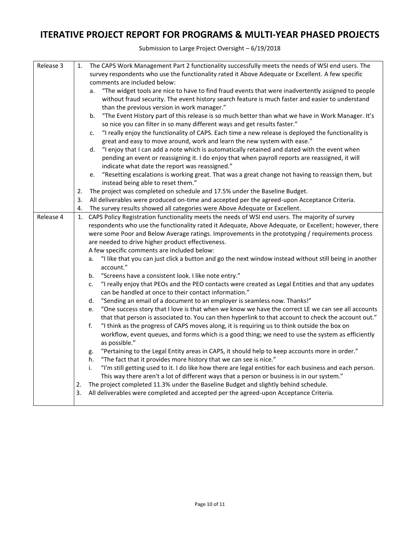| Release 3 | 1. | The CAPS Work Management Part 2 functionality successfully meets the needs of WSI end users. The               |  |  |  |
|-----------|----|----------------------------------------------------------------------------------------------------------------|--|--|--|
|           |    | survey respondents who use the functionality rated it Above Adequate or Excellent. A few specific              |  |  |  |
|           |    | comments are included below:                                                                                   |  |  |  |
|           |    | "The widget tools are nice to have to find fraud events that were inadvertently assigned to people<br>a.       |  |  |  |
|           |    | without fraud security. The event history search feature is much faster and easier to understand               |  |  |  |
|           |    | than the previous version in work manager."                                                                    |  |  |  |
|           |    | "The Event History part of this release is so much better than what we have in Work Manager. It's<br>b.        |  |  |  |
|           |    | so nice you can filter in so many different ways and get results faster."                                      |  |  |  |
|           |    | "I really enjoy the functionality of CAPS. Each time a new release is deployed the functionality is<br>c.      |  |  |  |
|           |    | great and easy to move around, work and learn the new system with ease."                                       |  |  |  |
|           |    | "I enjoy that I can add a note which is automatically retained and dated with the event when<br>d.             |  |  |  |
|           |    | pending an event or reassigning it. I do enjoy that when payroll reports are reassigned, it will               |  |  |  |
|           |    | indicate what date the report was reassigned."                                                                 |  |  |  |
|           |    | "Resetting escalations is working great. That was a great change not having to reassign them, but<br>e.        |  |  |  |
|           |    | instead being able to reset them."                                                                             |  |  |  |
|           | 2. | The project was completed on schedule and 17.5% under the Baseline Budget.                                     |  |  |  |
|           | 3. | All deliverables were produced on-time and accepted per the agreed-upon Acceptance Criteria.                   |  |  |  |
|           | 4. | The survey results showed all categories were Above Adequate or Excellent.                                     |  |  |  |
| Release 4 | 1. | CAPS Policy Registration functionality meets the needs of WSI end users. The majority of survey                |  |  |  |
|           |    | respondents who use the functionality rated it Adequate, Above Adequate, or Excellent; however, there          |  |  |  |
|           |    | were some Poor and Below Average ratings. Improvements in the prototyping / requirements process               |  |  |  |
|           |    | are needed to drive higher product effectiveness.                                                              |  |  |  |
|           |    | A few specific comments are included below:                                                                    |  |  |  |
|           |    | "I like that you can just click a button and go the next window instead without still being in another         |  |  |  |
|           |    | а.<br>account."                                                                                                |  |  |  |
|           |    | "Screens have a consistent look. I like note entry."<br>b.                                                     |  |  |  |
|           |    | "I really enjoy that PEOs and the PEO contacts were created as Legal Entities and that any updates             |  |  |  |
|           |    | c.<br>can be handled at once to their contact information."                                                    |  |  |  |
|           |    | "Sending an email of a document to an employer is seamless now. Thanks!"<br>d.                                 |  |  |  |
|           |    | "One success story that I love is that when we know we have the correct LE we can see all accounts             |  |  |  |
|           |    | e.<br>that that person is associated to. You can then hyperlink to that account to check the account out."     |  |  |  |
|           |    | f.<br>"I think as the progress of CAPS moves along, it is requiring us to think outside the box on             |  |  |  |
|           |    |                                                                                                                |  |  |  |
|           |    | workflow, event queues, and forms which is a good thing; we need to use the system as efficiently              |  |  |  |
|           |    | as possible."                                                                                                  |  |  |  |
|           |    | "Pertaining to the Legal Entity areas in CAPS, it should help to keep accounts more in order."<br>g.           |  |  |  |
|           |    | "The fact that it provides more history that we can see is nice."<br>h.                                        |  |  |  |
|           |    | "I'm still getting used to it. I do like how there are legal entities for each business and each person.<br>i. |  |  |  |
|           |    | This way there aren't a lot of different ways that a person or business is in our system."                     |  |  |  |
|           | 2. | The project completed 11.3% under the Baseline Budget and slightly behind schedule.                            |  |  |  |
|           | 3. | All deliverables were completed and accepted per the agreed-upon Acceptance Criteria.                          |  |  |  |
|           |    |                                                                                                                |  |  |  |